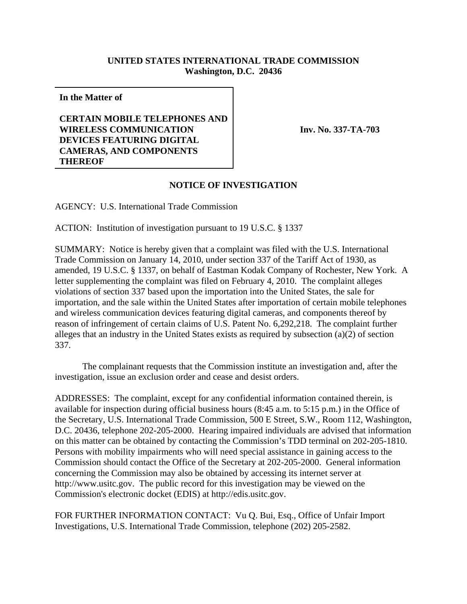## **UNITED STATES INTERNATIONAL TRADE COMMISSION Washington, D.C. 20436**

**In the Matter of**

## **CERTAIN MOBILE TELEPHONES AND WIRELESS COMMUNICATION DEVICES FEATURING DIGITAL CAMERAS, AND COMPONENTS THEREOF**

**Inv. No. 337-TA-703**

## **NOTICE OF INVESTIGATION**

AGENCY: U.S. International Trade Commission

ACTION: Institution of investigation pursuant to 19 U.S.C. § 1337

SUMMARY: Notice is hereby given that a complaint was filed with the U.S. International Trade Commission on January 14, 2010, under section 337 of the Tariff Act of 1930, as amended, 19 U.S.C. § 1337, on behalf of Eastman Kodak Company of Rochester, New York. A letter supplementing the complaint was filed on February 4, 2010. The complaint alleges violations of section 337 based upon the importation into the United States, the sale for importation, and the sale within the United States after importation of certain mobile telephones and wireless communication devices featuring digital cameras, and components thereof by reason of infringement of certain claims of U.S. Patent No. 6,292,218. The complaint further alleges that an industry in the United States exists as required by subsection  $(a)(2)$  of section 337.

The complainant requests that the Commission institute an investigation and, after the investigation, issue an exclusion order and cease and desist orders.

ADDRESSES: The complaint, except for any confidential information contained therein, is available for inspection during official business hours (8:45 a.m. to 5:15 p.m.) in the Office of the Secretary, U.S. International Trade Commission, 500 E Street, S.W., Room 112, Washington, D.C. 20436, telephone 202-205-2000. Hearing impaired individuals are advised that information on this matter can be obtained by contacting the Commission's TDD terminal on 202-205-1810. Persons with mobility impairments who will need special assistance in gaining access to the Commission should contact the Office of the Secretary at 202-205-2000. General information concerning the Commission may also be obtained by accessing its internet server at http://www.usitc.gov. The public record for this investigation may be viewed on the Commission's electronic docket (EDIS) at http://edis.usitc.gov.

FOR FURTHER INFORMATION CONTACT: Vu Q. Bui, Esq., Office of Unfair Import Investigations, U.S. International Trade Commission, telephone (202) 205-2582.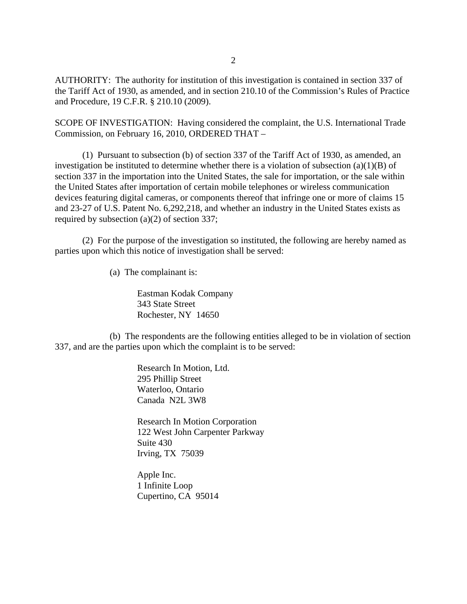AUTHORITY: The authority for institution of this investigation is contained in section 337 of the Tariff Act of 1930, as amended, and in section 210.10 of the Commission's Rules of Practice and Procedure, 19 C.F.R. § 210.10 (2009).

SCOPE OF INVESTIGATION: Having considered the complaint, the U.S. International Trade Commission, on February 16, 2010, ORDERED THAT –

(1) Pursuant to subsection (b) of section 337 of the Tariff Act of 1930, as amended, an investigation be instituted to determine whether there is a violation of subsection (a)(1)(B) of section 337 in the importation into the United States, the sale for importation, or the sale within the United States after importation of certain mobile telephones or wireless communication devices featuring digital cameras, or components thereof that infringe one or more of claims 15 and 23-27 of U.S. Patent No. 6,292,218, and whether an industry in the United States exists as required by subsection (a)(2) of section 337;

(2) For the purpose of the investigation so instituted, the following are hereby named as parties upon which this notice of investigation shall be served:

(a) The complainant is:

Eastman Kodak Company 343 State Street Rochester, NY 14650

(b) The respondents are the following entities alleged to be in violation of section 337, and are the parties upon which the complaint is to be served:

> Research In Motion, Ltd. 295 Phillip Street Waterloo, Ontario Canada N2L 3W8

Research In Motion Corporation 122 West John Carpenter Parkway Suite 430 Irving, TX 75039

Apple Inc. 1 Infinite Loop Cupertino, CA 95014